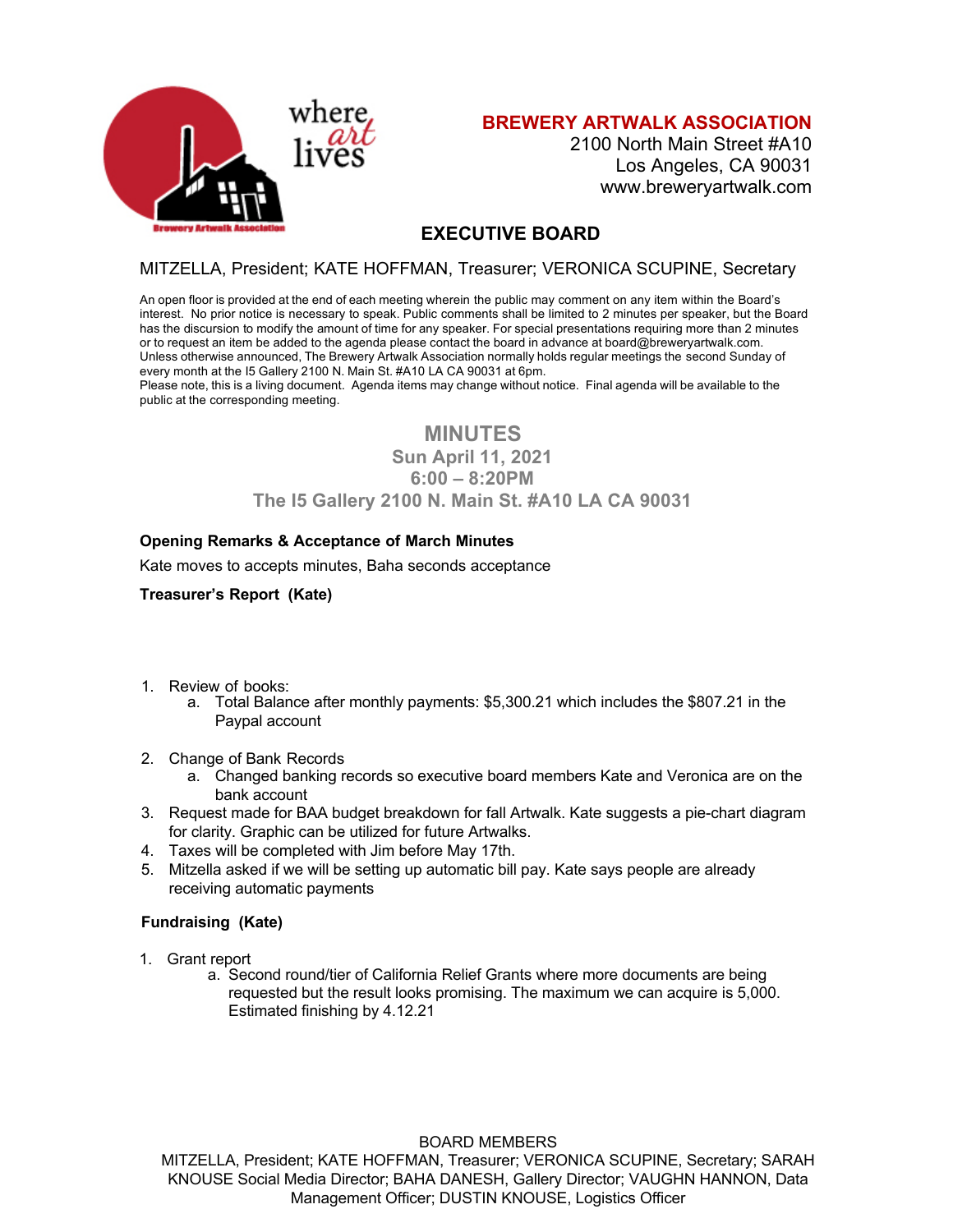

**BREWERY ARTWALK ASSOCIATION**

2100 North Main Street #A10 Los Angeles, CA 90031 www.breweryartwalk.com

# **EXECUTIVE BOARD**

## MITZELLA, President; KATE HOFFMAN, Treasurer; VERONICA SCUPINE, Secretary

An open floor is provided at the end of each meeting wherein the public may comment on any item within the Board's interest. No prior notice is necessary to speak. Public comments shall be limited to 2 minutes per speaker, but the Board has the discursion to modify the amount of time for any speaker. For special presentations requiring more than 2 minutes or to request an item be added to the agenda please contact the board in advance at board@breweryartwalk.com. Unless otherwise announced, The Brewery Artwalk Association normally holds regular meetings the second Sunday of every month at the I5 Gallery 2100 N. Main St. #A10 LA CA 90031 at 6pm.

Please note, this is a living document. Agenda items may change without notice. Final agenda will be available to the public at the corresponding meeting.

# **MINUTES**

**Sun April 11, 2021** 

**6:00 – 8:20PM** 

## **The I5 Gallery 2100 N. Main St. #A10 LA CA 90031**

## **Opening Remarks & Acceptance of March Minutes**

Kate moves to accepts minutes, Baha seconds acceptance

## **Treasurer's Report (Kate)**

- 1. Review of books:
	- a. Total Balance after monthly payments: \$5,300.21 which includes the \$807.21 in the Paypal account
- 2. Change of Bank Records
	- a. Changed banking records so executive board members Kate and Veronica are on the bank account
- 3. Request made for BAA budget breakdown for fall Artwalk. Kate suggests a pie-chart diagram for clarity. Graphic can be utilized for future Artwalks.
- 4. Taxes will be completed with Jim before May 17th.
- 5. Mitzella asked if we will be setting up automatic bill pay. Kate says people are already receiving automatic payments

## **Fundraising (Kate)**

- 1. Grant report
	- a. Second round/tier of California Relief Grants where more documents are being requested but the result looks promising. The maximum we can acquire is 5,000. Estimated finishing by 4.12.21

#### BOARD MEMBERS

MITZELLA, President; KATE HOFFMAN, Treasurer; VERONICA SCUPINE, Secretary; SARAH KNOUSE Social Media Director; BAHA DANESH, Gallery Director; VAUGHN HANNON, Data Management Officer; DUSTIN KNOUSE, Logistics Officer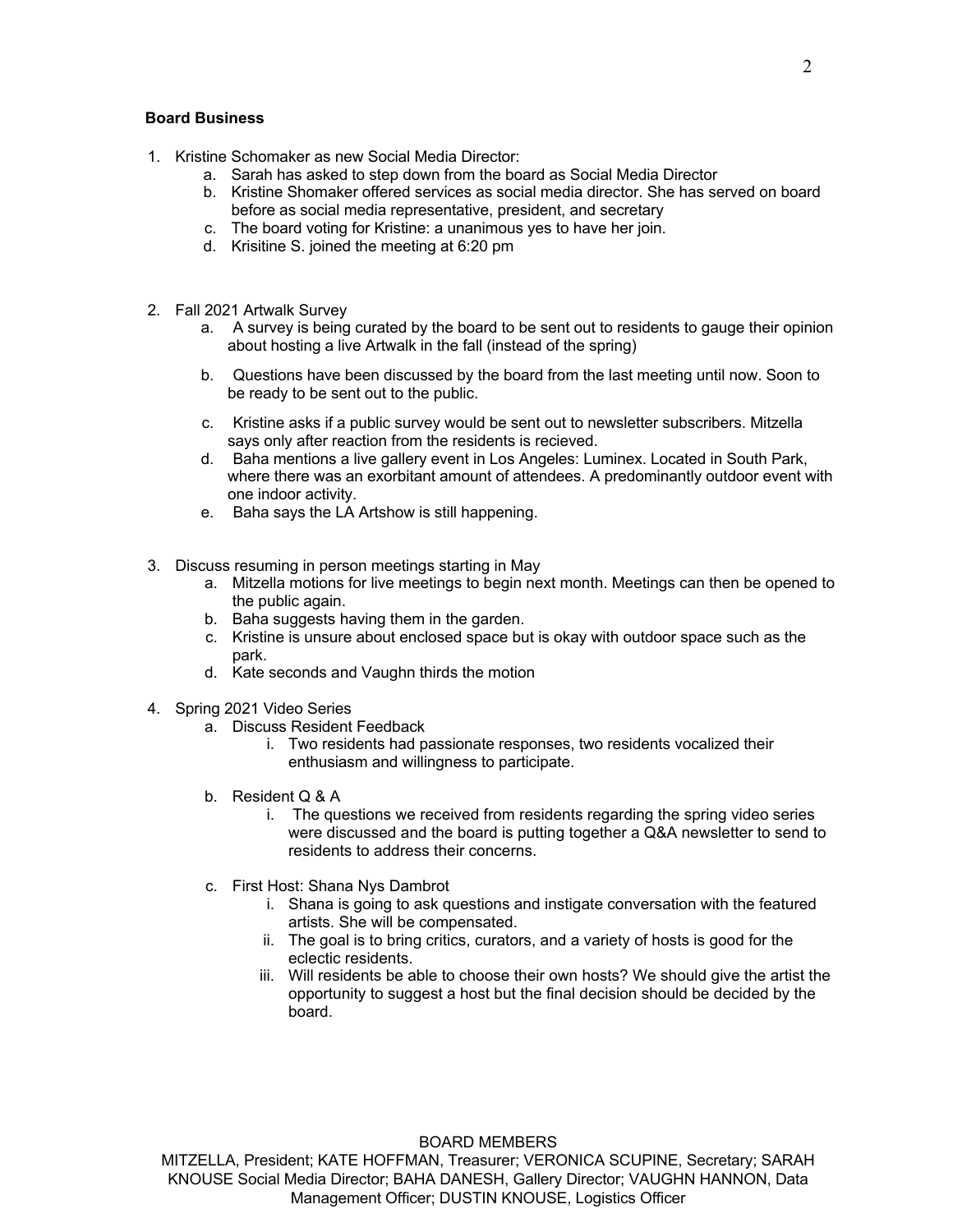#### **Board Business**

- 1. Kristine Schomaker as new Social Media Director:
	- a. Sarah has asked to step down from the board as Social Media Director
	- b. Kristine Shomaker offered services as social media director. She has served on board before as social media representative, president, and secretary
	- c. The board voting for Kristine: a unanimous yes to have her join.
	- d. Krisitine S. joined the meeting at 6:20 pm
- 2. Fall 2021 Artwalk Survey
	- a. A survey is being curated by the board to be sent out to residents to gauge their opinion about hosting a live Artwalk in the fall (instead of the spring)
	- b. Questions have been discussed by the board from the last meeting until now. Soon to be ready to be sent out to the public.
	- c. Kristine asks if a public survey would be sent out to newsletter subscribers. Mitzella says only after reaction from the residents is recieved.
	- d. Baha mentions a live gallery event in Los Angeles: Luminex. Located in South Park, where there was an exorbitant amount of attendees. A predominantly outdoor event with one indoor activity.
	- e. Baha says the LA Artshow is still happening.
- 3. Discuss resuming in person meetings starting in May
	- a. Mitzella motions for live meetings to begin next month. Meetings can then be opened to the public again.
	- b. Baha suggests having them in the garden.
	- c. Kristine is unsure about enclosed space but is okay with outdoor space such as the park.
	- d. Kate seconds and Vaughn thirds the motion
- 4. Spring 2021 Video Series
	- a. Discuss Resident Feedback
		- i. Two residents had passionate responses, two residents vocalized their enthusiasm and willingness to participate.
	- b. Resident Q & A
		- i. The questions we received from residents regarding the spring video series were discussed and the board is putting together a Q&A newsletter to send to residents to address their concerns.
	- c. First Host: Shana Nys Dambrot
		- i. Shana is going to ask questions and instigate conversation with the featured artists. She will be compensated.
		- ii. The goal is to bring critics, curators, and a variety of hosts is good for the eclectic residents.
		- iii. Will residents be able to choose their own hosts? We should give the artist the opportunity to suggest a host but the final decision should be decided by the board.

#### BOARD MEMBERS

MITZELLA, President; KATE HOFFMAN, Treasurer; VERONICA SCUPINE, Secretary; SARAH KNOUSE Social Media Director; BAHA DANESH, Gallery Director; VAUGHN HANNON, Data Management Officer; DUSTIN KNOUSE, Logistics Officer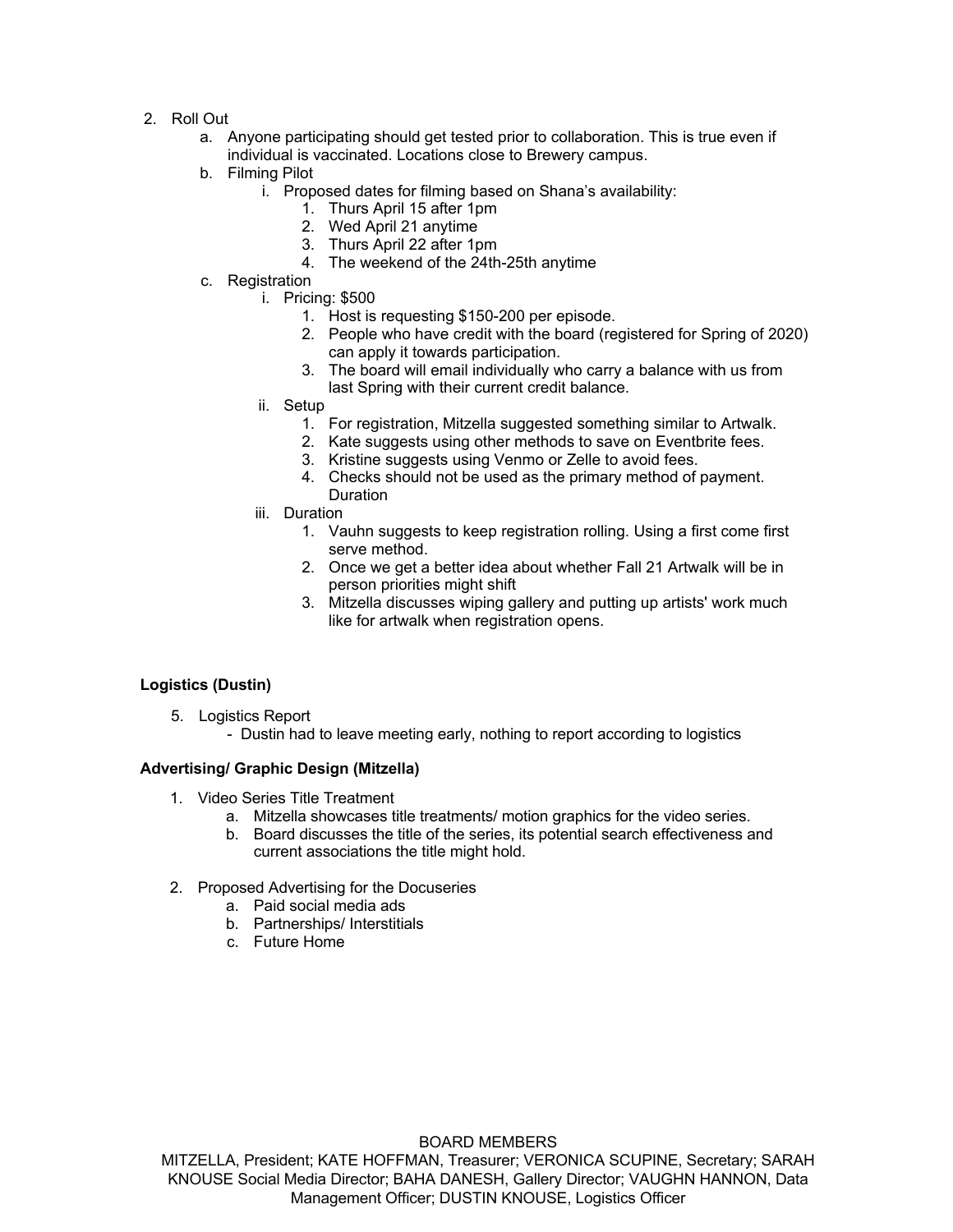- 2. Roll Out
	- a. Anyone participating should get tested prior to collaboration. This is true even if individual is vaccinated. Locations close to Brewery campus.
	- b. Filming Pilot
		- i. Proposed dates for filming based on Shana's availability:
			- 1. Thurs April 15 after 1pm
			- 2. Wed April 21 anytime
			- 3. Thurs April 22 after 1pm
			- 4. The weekend of the 24th-25th anytime
	- c. Registration
		- i. Pricing: \$500
			- 1. Host is requesting \$150-200 per episode.
			- 2. People who have credit with the board (registered for Spring of 2020) can apply it towards participation.
			- 3. The board will email individually who carry a balance with us from last Spring with their current credit balance.
		- ii. Setup
			- 1. For registration, Mitzella suggested something similar to Artwalk.
			- 2. Kate suggests using other methods to save on Eventbrite fees.
			- 3. Kristine suggests using Venmo or Zelle to avoid fees.
			- 4. Checks should not be used as the primary method of payment. Duration
		- iii. Duration
			- 1. Vauhn suggests to keep registration rolling. Using a first come first serve method.
			- 2. Once we get a better idea about whether Fall 21 Artwalk will be in person priorities might shift
			- 3. Mitzella discusses wiping gallery and putting up artists' work much like for artwalk when registration opens.

## **Logistics (Dustin)**

- 5. Logistics Report
	- Dustin had to leave meeting early, nothing to report according to logistics

## **Advertising/ Graphic Design (Mitzella)**

- 1. Video Series Title Treatment
	- a. Mitzella showcases title treatments/ motion graphics for the video series.
	- b. Board discusses the title of the series, its potential search effectiveness and current associations the title might hold.
- 2. Proposed Advertising for the Docuseries
	- a. Paid social media ads
	- b. Partnerships/ Interstitials
	- c. Future Home

#### BOARD MEMBERS

MITZELLA, President; KATE HOFFMAN, Treasurer; VERONICA SCUPINE, Secretary; SARAH KNOUSE Social Media Director; BAHA DANESH, Gallery Director; VAUGHN HANNON, Data Management Officer; DUSTIN KNOUSE, Logistics Officer